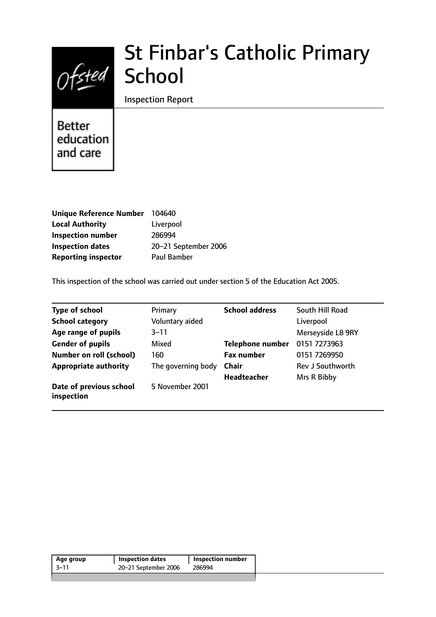

# St Finbar's Catholic Primary School

Inspection Report

**Better** education and care

| Unique Reference Number    | 104640               |
|----------------------------|----------------------|
| <b>Local Authority</b>     | Liverpool            |
| <b>Inspection number</b>   | 286994               |
| <b>Inspection dates</b>    | 20-21 September 2006 |
| <b>Reporting inspector</b> | Paul Bamber          |

This inspection of the school was carried out under section 5 of the Education Act 2005.

| <b>Type of school</b>                 | Primary            | <b>School address</b>   | South Hill Road   |
|---------------------------------------|--------------------|-------------------------|-------------------|
| <b>School category</b>                | Voluntary aided    |                         | Liverpool         |
| Age range of pupils                   | $3 - 11$           |                         | Merseyside L8 9RY |
| <b>Gender of pupils</b>               | Mixed              | <b>Telephone number</b> | 0151 7273963      |
| <b>Number on roll (school)</b>        | 160                | <b>Fax number</b>       | 0151 7269950      |
| <b>Appropriate authority</b>          | The governing body | <b>Chair</b>            | Rev J Southworth  |
|                                       |                    | <b>Headteacher</b>      | Mrs R Bibby       |
| Date of previous school<br>inspection | 5 November 2001    |                         |                   |

| Age group | <b>Inspection dates</b> | <b>Inspection number</b> |
|-----------|-------------------------|--------------------------|
| -3–11     | 20-21 September 2006    | 286994                   |
|           |                         |                          |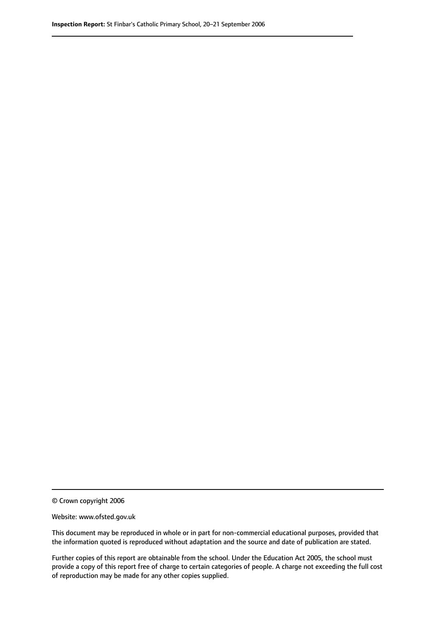© Crown copyright 2006

Website: www.ofsted.gov.uk

This document may be reproduced in whole or in part for non-commercial educational purposes, provided that the information quoted is reproduced without adaptation and the source and date of publication are stated.

Further copies of this report are obtainable from the school. Under the Education Act 2005, the school must provide a copy of this report free of charge to certain categories of people. A charge not exceeding the full cost of reproduction may be made for any other copies supplied.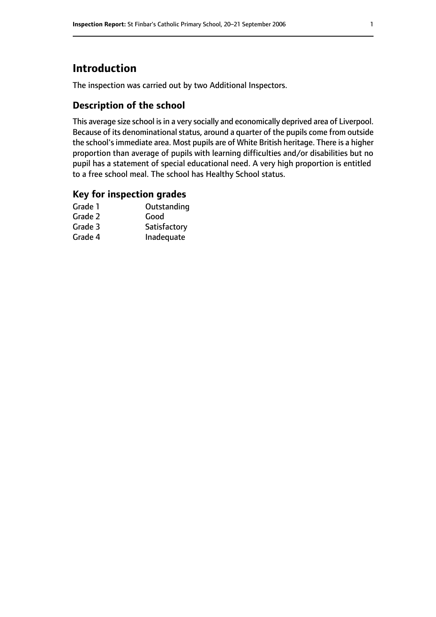# **Introduction**

The inspection was carried out by two Additional Inspectors.

## **Description of the school**

This average size school is in a very socially and economically deprived area of Liverpool. Because of its denominational status, around a quarter of the pupils come from outside the school's immediate area. Most pupils are of White British heritage. There is a higher proportion than average of pupils with learning difficulties and/or disabilities but no pupil has a statement of special educational need. A very high proportion is entitled to a free school meal. The school has Healthy School status.

### **Key for inspection grades**

| Grade 1 | Outstanding  |
|---------|--------------|
| Grade 2 | Good         |
| Grade 3 | Satisfactory |
| Grade 4 | Inadequate   |
|         |              |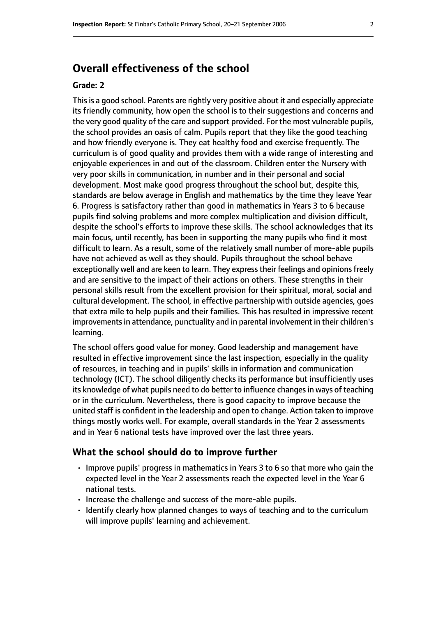# **Overall effectiveness of the school**

#### **Grade: 2**

Thisis a good school. Parents are rightly very positive about it and especially appreciate its friendly community, how open the school is to their suggestions and concerns and the very good quality of the care and support provided. For the most vulnerable pupils, the school provides an oasis of calm. Pupils report that they like the good teaching and how friendly everyone is. They eat healthy food and exercise frequently. The curriculum is of good quality and provides them with a wide range of interesting and enjoyable experiences in and out of the classroom. Children enter the Nursery with very poor skills in communication, in number and in their personal and social development. Most make good progress throughout the school but, despite this, standards are below average in English and mathematics by the time they leave Year 6. Progress is satisfactory rather than good in mathematics in Years 3 to 6 because pupils find solving problems and more complex multiplication and division difficult, despite the school's efforts to improve these skills. The school acknowledges that its main focus, until recently, has been in supporting the many pupils who find it most difficult to learn. As a result, some of the relatively small number of more-able pupils have not achieved as well as they should. Pupils throughout the school behave exceptionally well and are keen to learn. They express their feelings and opinions freely and are sensitive to the impact of their actions on others. These strengths in their personal skills result from the excellent provision for their spiritual, moral, social and cultural development. The school, in effective partnership with outside agencies, goes that extra mile to help pupils and their families. This has resulted in impressive recent improvements in attendance, punctuality and in parental involvement in their children's learning.

The school offers good value for money. Good leadership and management have resulted in effective improvement since the last inspection, especially in the quality of resources, in teaching and in pupils' skills in information and communication technology (ICT). The school diligently checks its performance but insufficiently uses its knowledge of what pupils need to do better to influence changes in ways of teaching or in the curriculum. Nevertheless, there is good capacity to improve because the united staff is confident in the leadership and open to change. Action taken to improve things mostly works well. For example, overall standards in the Year 2 assessments and in Year 6 national tests have improved over the last three years.

#### **What the school should do to improve further**

- Improve pupils' progress in mathematics in Years 3 to 6 so that more who gain the expected level in the Year 2 assessments reach the expected level in the Year 6 national tests.
- Increase the challenge and success of the more-able pupils.
- Identify clearly how planned changes to ways of teaching and to the curriculum will improve pupils' learning and achievement.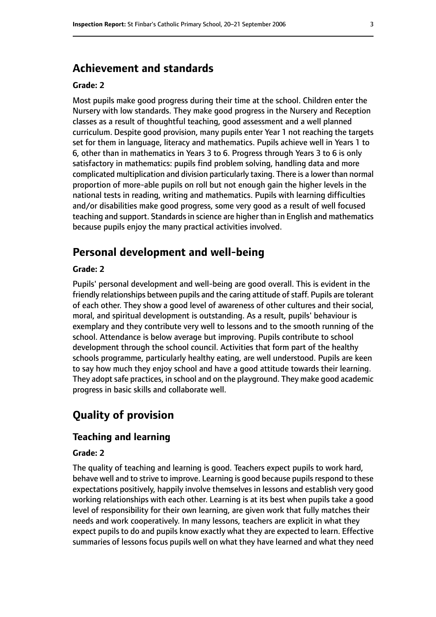# **Achievement and standards**

#### **Grade: 2**

Most pupils make good progress during their time at the school. Children enter the Nursery with low standards. They make good progress in the Nursery and Reception classes as a result of thoughtful teaching, good assessment and a well planned curriculum. Despite good provision, many pupils enter Year 1 not reaching the targets set for them in language, literacy and mathematics. Pupils achieve well in Years 1 to 6, other than in mathematics in Years 3 to 6. Progress through Years 3 to 6 is only satisfactory in mathematics: pupils find problem solving, handling data and more complicated multiplication and division particularly taxing. There is a lower than normal proportion of more-able pupils on roll but not enough gain the higher levels in the national tests in reading, writing and mathematics. Pupils with learning difficulties and/or disabilities make good progress, some very good as a result of well focused teaching and support. Standards in science are higher than in English and mathematics because pupils enjoy the many practical activities involved.

## **Personal development and well-being**

#### **Grade: 2**

Pupils' personal development and well-being are good overall. This is evident in the friendly relationships between pupils and the caring attitude of staff. Pupils are tolerant of each other. They show a good level of awareness of other cultures and their social, moral, and spiritual development is outstanding. As a result, pupils' behaviour is exemplary and they contribute very well to lessons and to the smooth running of the school. Attendance is below average but improving. Pupils contribute to school development through the school council. Activities that form part of the healthy schools programme, particularly healthy eating, are well understood. Pupils are keen to say how much they enjoy school and have a good attitude towards their learning. They adopt safe practices, in school and on the playground. They make good academic progress in basic skills and collaborate well.

# **Quality of provision**

#### **Teaching and learning**

#### **Grade: 2**

The quality of teaching and learning is good. Teachers expect pupils to work hard, behave well and to strive to improve. Learning is good because pupils respond to these expectations positively, happily involve themselves in lessons and establish very good working relationships with each other. Learning is at its best when pupils take a good level of responsibility for their own learning, are given work that fully matches their needs and work cooperatively. In many lessons, teachers are explicit in what they expect pupils to do and pupils know exactly what they are expected to learn. Effective summaries of lessons focus pupils well on what they have learned and what they need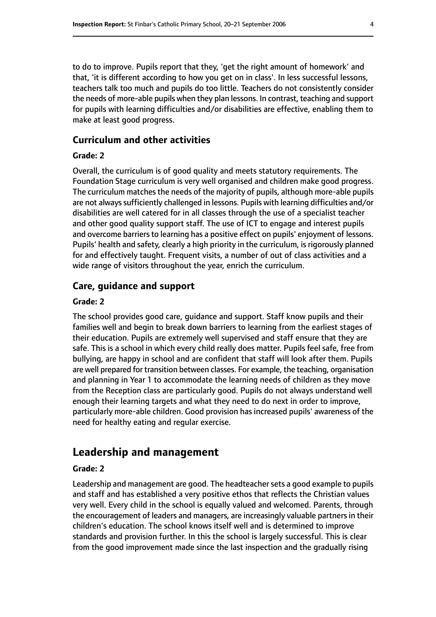to do to improve. Pupils report that they, 'get the right amount of homework' and that, 'it is different according to how you get on in class'. In less successful lessons, teachers talk too much and pupils do too little. Teachers do not consistently consider the needs of more-able pupils when they plan lessons. In contrast, teaching and support for pupils with learning difficulties and/or disabilities are effective, enabling them to make at least good progress.

## **Curriculum and other activities**

#### **Grade: 2**

Overall, the curriculum is of good quality and meets statutory requirements. The Foundation Stage curriculum is very well organised and children make good progress. The curriculum matches the needs of the majority of pupils, although more-able pupils are not always sufficiently challenged in lessons. Pupils with learning difficulties and/or disabilities are well catered for in all classes through the use of a specialist teacher and other good quality support staff. The use of ICT to engage and interest pupils and overcome barriers to learning has a positive effect on pupils' enjoyment of lessons. Pupils' health and safety, clearly a high priority in the curriculum, is rigorously planned for and effectively taught. Frequent visits, a number of out of class activities and a wide range of visitors throughout the year, enrich the curriculum.

#### **Care, guidance and support**

#### **Grade: 2**

The school provides good care, guidance and support. Staff know pupils and their families well and begin to break down barriers to learning from the earliest stages of their education. Pupils are extremely well supervised and staff ensure that they are safe. This is a school in which every child really does matter. Pupils feel safe, free from bullying, are happy in school and are confident that staff will look after them. Pupils are well prepared for transition between classes. For example, the teaching, organisation and planning in Year 1 to accommodate the learning needs of children as they move from the Reception class are particularly good. Pupils do not always understand well enough their learning targets and what they need to do next in order to improve, particularly more-able children. Good provision has increased pupils' awareness of the need for healthy eating and regular exercise.

# **Leadership and management**

#### **Grade: 2**

Leadership and management are good. The headteacher sets a good example to pupils and staff and has established a very positive ethos that reflects the Christian values very well. Every child in the school is equally valued and welcomed. Parents, through the encouragement of leaders and managers, are increasingly valuable partners in their children's education. The school knows itself well and is determined to improve standards and provision further. In this the school is largely successful. This is clear from the good improvement made since the last inspection and the gradually rising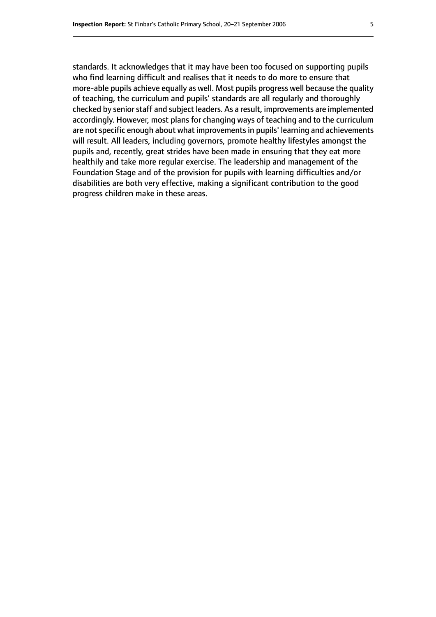standards. It acknowledges that it may have been too focused on supporting pupils who find learning difficult and realises that it needs to do more to ensure that more-able pupils achieve equally as well. Most pupils progress well because the quality of teaching, the curriculum and pupils' standards are all regularly and thoroughly checked by senior staff and subject leaders. As a result, improvements are implemented accordingly. However, most plans for changing ways of teaching and to the curriculum are not specific enough about what improvements in pupils' learning and achievements will result. All leaders, including governors, promote healthy lifestyles amongst the pupils and, recently, great strides have been made in ensuring that they eat more healthily and take more regular exercise. The leadership and management of the Foundation Stage and of the provision for pupils with learning difficulties and/or disabilities are both very effective, making a significant contribution to the good progress children make in these areas.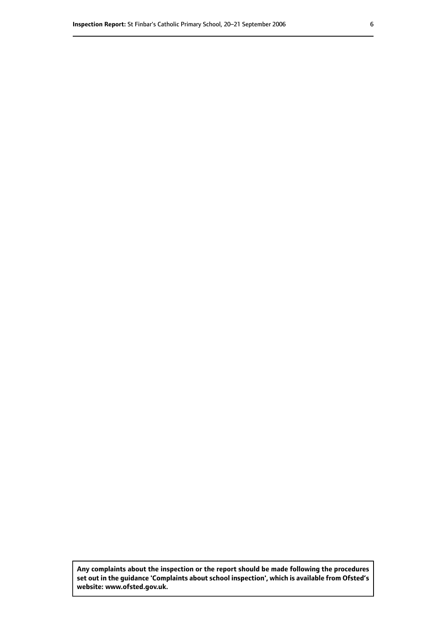**Any complaints about the inspection or the report should be made following the procedures set out inthe guidance 'Complaints about school inspection', whichis available from Ofsted's website: www.ofsted.gov.uk.**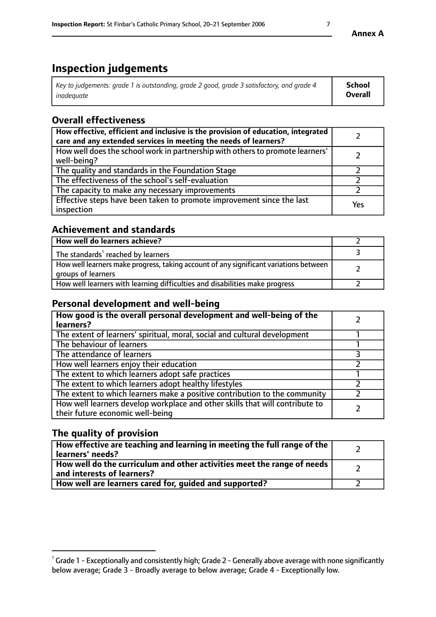# **Inspection judgements**

| Key to judgements: grade 1 is outstanding, grade 2 good, grade 3 satisfactory, and grade 4 | School         |
|--------------------------------------------------------------------------------------------|----------------|
| inadeauate                                                                                 | <b>Overall</b> |

# **Overall effectiveness**

| How effective, efficient and inclusive is the provision of education, integrated<br>care and any extended services in meeting the needs of learners? |     |
|------------------------------------------------------------------------------------------------------------------------------------------------------|-----|
| How well does the school work in partnership with others to promote learners'<br>well-being?                                                         |     |
| The quality and standards in the Foundation Stage                                                                                                    |     |
| The effectiveness of the school's self-evaluation                                                                                                    |     |
| The capacity to make any necessary improvements                                                                                                      |     |
| Effective steps have been taken to promote improvement since the last<br>inspection                                                                  | Yes |

## **Achievement and standards**

| How well do learners achieve?                                                                               |  |
|-------------------------------------------------------------------------------------------------------------|--|
| The standards <sup>1</sup> reached by learners                                                              |  |
| How well learners make progress, taking account of any significant variations between<br>groups of learners |  |
| How well learners with learning difficulties and disabilities make progress                                 |  |

## **Personal development and well-being**

| How good is the overall personal development and well-being of the<br>learners?                                  |  |
|------------------------------------------------------------------------------------------------------------------|--|
| The extent of learners' spiritual, moral, social and cultural development                                        |  |
| The behaviour of learners                                                                                        |  |
| The attendance of learners                                                                                       |  |
| How well learners enjoy their education                                                                          |  |
| The extent to which learners adopt safe practices                                                                |  |
| The extent to which learners adopt healthy lifestyles                                                            |  |
| The extent to which learners make a positive contribution to the community                                       |  |
| How well learners develop workplace and other skills that will contribute to<br>their future economic well-being |  |

# **The quality of provision**

| How effective are teaching and learning in meeting the full range of the<br>  learners' needs?                      |  |
|---------------------------------------------------------------------------------------------------------------------|--|
| $\mid$ How well do the curriculum and other activities meet the range of needs<br>$\mid$ and interests of learners? |  |
| How well are learners cared for, guided and supported?                                                              |  |

 $^1$  Grade 1 - Exceptionally and consistently high; Grade 2 - Generally above average with none significantly below average; Grade 3 - Broadly average to below average; Grade 4 - Exceptionally low.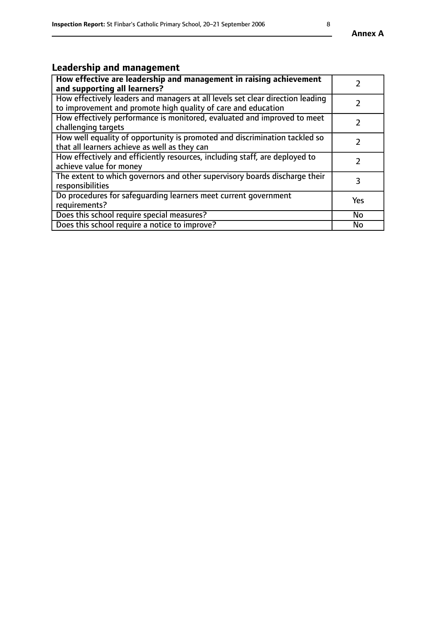# **Leadership and management**

| How effective are leadership and management in raising achievement<br>and supporting all learners?                                              |               |
|-------------------------------------------------------------------------------------------------------------------------------------------------|---------------|
| How effectively leaders and managers at all levels set clear direction leading<br>to improvement and promote high quality of care and education |               |
| How effectively performance is monitored, evaluated and improved to meet<br>challenging targets                                                 | $\mathcal{L}$ |
| How well equality of opportunity is promoted and discrimination tackled so<br>that all learners achieve as well as they can                     |               |
| How effectively and efficiently resources, including staff, are deployed to<br>achieve value for money                                          | $\mathcal{L}$ |
| The extent to which governors and other supervisory boards discharge their<br>responsibilities                                                  | 3             |
| Do procedures for safequarding learners meet current government<br>requirements?                                                                | Yes           |
| Does this school require special measures?                                                                                                      | No            |
| Does this school require a notice to improve?                                                                                                   | <b>No</b>     |